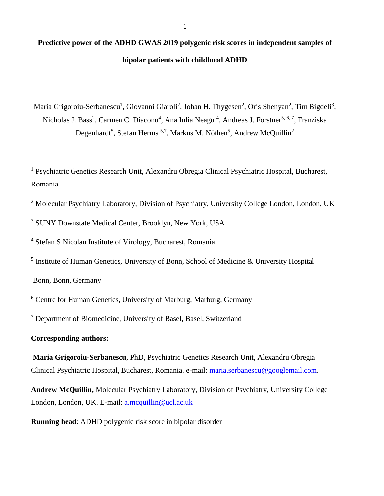## **Predictive power of the ADHD GWAS 2019 polygenic risk scores in independent samples of bipolar patients with childhood ADHD**

Maria Grigoroiu-Serbanescu<sup>1</sup>, Giovanni Giaroli<sup>2</sup>, Johan H. Thygesen<sup>2</sup>, Oris Shenyan<sup>2</sup>, Tim Bigdeli<sup>3</sup>, Nicholas J. Bass<sup>2</sup>, Carmen C. Diaconu<sup>4</sup>, Ana Iulia Neagu<sup>4</sup>, Andreas J. Forstner<sup>5, 6, 7</sup>, Franziska Degenhardt<sup>5</sup>, Stefan Herms <sup>5,7</sup>, Markus M. Nöthen<sup>5</sup>, Andrew McQuillin<sup>2</sup>

<sup>1</sup> Psychiatric Genetics Research Unit, Alexandru Obregia Clinical Psychiatric Hospital, Bucharest, Romania

<sup>2</sup> Molecular Psychiatry Laboratory, Division of Psychiatry, University College London, London, UK

<sup>3</sup> SUNY Downstate Medical Center, Brooklyn, New York, USA

<sup>4</sup> Stefan S Nicolau Institute of Virology, Bucharest, Romania

<sup>5</sup> Institute of Human Genetics, University of Bonn, School of Medicine & University Hospital

Bonn, Bonn, Germany

<sup>6</sup> Centre for Human Genetics, University of Marburg, Marburg, Germany

<sup>7</sup> Department of Biomedicine, University of Basel, Basel, Switzerland

### **Corresponding authors:**

**Maria Grigoroiu-Serbanescu**, PhD, Psychiatric Genetics Research Unit, Alexandru Obregia Clinical Psychiatric Hospital, Bucharest, Romania. e-mail: [maria.serbanescu@googlemail.com.](mailto:maria.serbanescu@googlemail.com)

**Andrew McQuillin,** Molecular Psychiatry Laboratory, Division of Psychiatry, University College London, London, UK. E-mail: [a.mcquillin@ucl.ac.uk](mailto:a.mcquillin@ucl.ac.uk)

**Running head**: ADHD polygenic risk score in bipolar disorder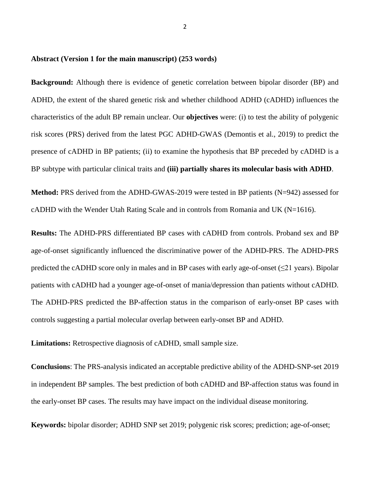### **Abstract (Version 1 for the main manuscript) (253 words)**

**Background:** Although there is evidence of genetic correlation between bipolar disorder (BP) and ADHD, the extent of the shared genetic risk and whether childhood ADHD (cADHD) influences the characteristics of the adult BP remain unclear. Our **objectives** were: (i) to test the ability of polygenic risk scores (PRS) derived from the latest PGC ADHD-GWAS (Demontis et al., 2019) to predict the presence of cADHD in BP patients; (ii) to examine the hypothesis that BP preceded by cADHD is a BP subtype with particular clinical traits and **(iii) partially shares its molecular basis with ADHD**.

Method: PRS derived from the ADHD-GWAS-2019 were tested in BP patients (N=942) assessed for cADHD with the Wender Utah Rating Scale and in controls from Romania and UK (N=1616).

**Results:** The ADHD-PRS differentiated BP cases with cADHD from controls. Proband sex and BP age-of-onset significantly influenced the discriminative power of the ADHD-PRS. The ADHD-PRS predicted the cADHD score only in males and in BP cases with early age-of-onset ( $\leq 21$  years). Bipolar patients with cADHD had a younger age-of-onset of mania/depression than patients without cADHD. The ADHD-PRS predicted the BP-affection status in the comparison of early-onset BP cases with controls suggesting a partial molecular overlap between early-onset BP and ADHD.

**Limitations:** Retrospective diagnosis of cADHD, small sample size.

**Conclusions**: The PRS-analysis indicated an acceptable predictive ability of the ADHD-SNP-set 2019 in independent BP samples. The best prediction of both cADHD and BP-affection status was found in the early-onset BP cases. The results may have impact on the individual disease monitoring.

**Keywords:** bipolar disorder; ADHD SNP set 2019; polygenic risk scores; prediction; age-of-onset;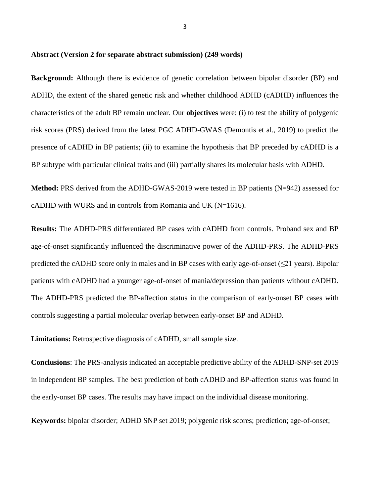### **Abstract (Version 2 for separate abstract submission) (249 words)**

**Background:** Although there is evidence of genetic correlation between bipolar disorder (BP) and ADHD, the extent of the shared genetic risk and whether childhood ADHD (cADHD) influences the characteristics of the adult BP remain unclear. Our **objectives** were: (i) to test the ability of polygenic risk scores (PRS) derived from the latest PGC ADHD-GWAS (Demontis et al., 2019) to predict the presence of cADHD in BP patients; (ii) to examine the hypothesis that BP preceded by cADHD is a BP subtype with particular clinical traits and (iii) partially shares its molecular basis with ADHD.

**Method:** PRS derived from the ADHD-GWAS-2019 were tested in BP patients (N=942) assessed for cADHD with WURS and in controls from Romania and UK  $(N=1616)$ .

**Results:** The ADHD-PRS differentiated BP cases with cADHD from controls. Proband sex and BP age-of-onset significantly influenced the discriminative power of the ADHD-PRS. The ADHD-PRS predicted the cADHD score only in males and in BP cases with early age-of-onset ( $\leq$ 21 years). Bipolar patients with cADHD had a younger age-of-onset of mania/depression than patients without cADHD. The ADHD-PRS predicted the BP-affection status in the comparison of early-onset BP cases with controls suggesting a partial molecular overlap between early-onset BP and ADHD.

**Limitations:** Retrospective diagnosis of cADHD, small sample size.

**Conclusions**: The PRS-analysis indicated an acceptable predictive ability of the ADHD-SNP-set 2019 in independent BP samples. The best prediction of both cADHD and BP-affection status was found in the early-onset BP cases. The results may have impact on the individual disease monitoring.

**Keywords:** bipolar disorder; ADHD SNP set 2019; polygenic risk scores; prediction; age-of-onset;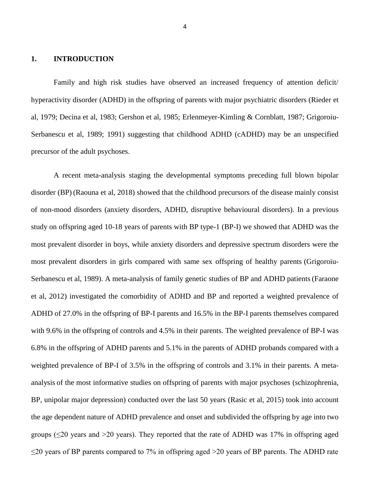### **1. INTRODUCTION**

Family and high risk studies have observed an increased frequency of attention deficit/ hyperactivity disorder (ADHD) in the offspring of parents with major psychiatric disorders (Rieder et al, 1979; Decina et al, 1983; Gershon et al, 1985; Erlenmeyer-Kimling & Cornblatt, 1987; Grigoroiu-Serbanescu et al, 1989; 1991) suggesting that childhood ADHD (cADHD) may be an unspecified precursor of the adult psychoses.

A recent meta-analysis staging the developmental symptoms preceding full blown bipolar disorder (BP) (Raouna et al, 2018) showed that the childhood precursors of the disease mainly consist of non-mood disorders (anxiety disorders, ADHD, disruptive behavioural disorders). In a previous study on offspring aged 10-18 years of parents with BP type-1 (BP-I) we showed that ADHD was the most prevalent disorder in boys, while anxiety disorders and depressive spectrum disorders were the most prevalent disorders in girls compared with same sex offspring of healthy parents (Grigoroiu-Serbanescu et al, 1989). A meta-analysis of family genetic studies of BP and ADHD patients(Faraone et al, 2012) investigated the comorbidity of ADHD and BP and reported a weighted prevalence of ADHD of 27.0% in the offspring of BP-I parents and 16.5% in the BP-I parents themselves compared with 9.6% in the offspring of controls and 4.5% in their parents. The weighted prevalence of BP-I was 6.8% in the offspring of ADHD parents and 5.1% in the parents of ADHD probands compared with a weighted prevalence of BP-I of 3.5% in the offspring of controls and 3.1% in their parents. A metaanalysis of the most informative studies on offspring of parents with major psychoses (schizophrenia, BP, unipolar major depression) conducted over the last 50 years (Rasic et al, 2015) took into account the age dependent nature of ADHD prevalence and onset and subdivided the offspring by age into two groups ( $\leq$ 20 years and >20 years). They reported that the rate of ADHD was 17% in offspring aged  $\leq$ 20 years of BP parents compared to 7% in offspring aged >20 years of BP parents. The ADHD rate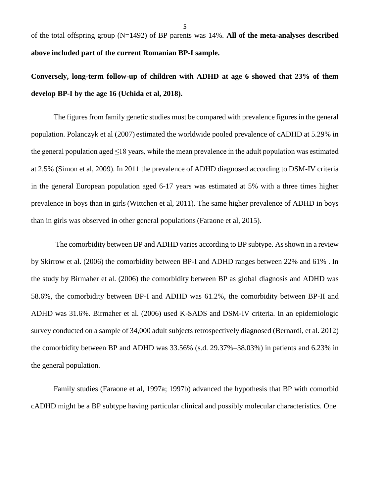5

of the total offspring group (N=1492) of BP parents was 14%. **All of the meta-analyses described above included part of the current Romanian BP-I sample.**

**Conversely, long-term follow-up of children with ADHD at age 6 showed that 23% of them develop BP-I by the age 16 (Uchida et al, 2018).**

The figures from family genetic studies must be compared with prevalence figures in the general population. Polanczyk et al (2007) estimated the worldwide pooled prevalence of cADHD at 5.29% in the general population aged  $\leq$ 18 years, while the mean prevalence in the adult population was estimated at 2.5% (Simon et al, 2009). In 2011 the prevalence of ADHD diagnosed according to DSM-IV criteria in the general European population aged 6-17 years was estimated at 5% with a three times higher prevalence in boys than in girls(Wittchen et al, 2011). The same higher prevalence of ADHD in boys than in girls was observed in other general populations(Faraone et al, 2015).

The comorbidity between BP and ADHD varies according to BP subtype. As shown in a review by Skirrow et al. (2006) the comorbidity between BP-I and ADHD ranges between 22% and 61% . In the study by Birmaher et al. (2006) the comorbidity between BP as global diagnosis and ADHD was 58.6%, the comorbidity between BP-I and ADHD was 61.2%, the comorbidity between BP-II and ADHD was 31.6%. Birmaher et al. (2006) used K-SADS and DSM-IV criteria. In an epidemiologic survey conducted on a sample of 34,000 adult subjects retrospectively diagnosed (Bernardi, et al. 2012) the comorbidity between BP and ADHD was 33.56% (s.d. 29.37%–38.03%) in patients and 6.23% in the general population.

Family studies (Faraone et al, 1997a; 1997b) advanced the hypothesis that BP with comorbid cADHD might be a BP subtype having particular clinical and possibly molecular characteristics. One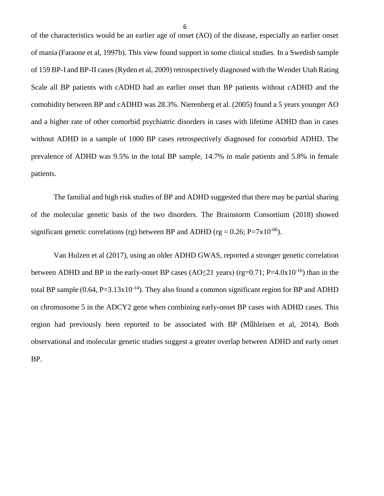of the characteristics would be an earlier age of onset (AO) of the disease, especially an earlier onset of mania (Faraone et al, 1997b). This view found support in some clinical studies. In a Swedish sample of 159 BP-I and BP-II cases (Ryden et al, 2009) retrospectively diagnosed with the Wender Utah Rating Scale all BP patients with cADHD had an earlier onset than BP patients without cADHD and the comobidity between BP and cADHD was 28.3%. Nierenberg et al. (2005) found a 5 years younger AO and a higher rate of other comorbid psychiatric disorders in cases with lifetime ADHD than in cases without ADHD in a sample of 1000 BP cases retrospectively diagnosed for comorbid ADHD. The prevalence of ADHD was 9.5% in the total BP sample, 14.7% in male patients and 5.8% in female patients.

The familial and high risk studies of BP and ADHD suggested that there may be partial sharing of the molecular genetic basis of the two disorders. The Brainstorm Consortium (2018) showed significant genetic correlations (rg) between BP and ADHD (rg =  $0.26$ ; P=7x10<sup>-06</sup>).

Van Hulzen et al (2017), using an older ADHD GWAS, reported a stronger genetic correlation between ADHD and BP in the early-onset BP cases (AO<21 years) (rg=0.71; P=4.0x10<sup>-16</sup>) than in the total BP sample  $(0.64, P=3.13x10^{-14})$ . They also found a common significant region for BP and ADHD on chromosome 5 in the ADCY2 gene when combining early-onset BP cases with ADHD cases. This region had previously been reported to be associated with BP (Mṻhleisen et al, 2014). Both observational and molecular genetic studies suggest a greater overlap between ADHD and early onset BP.

6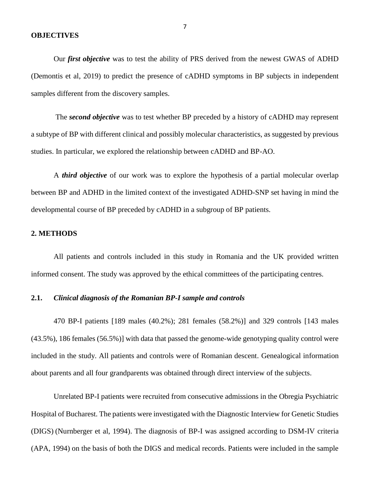#### **OBJECTIVES**

Our *first objective* was to test the ability of PRS derived from the newest GWAS of ADHD (Demontis et al, 2019) to predict the presence of cADHD symptoms in BP subjects in independent samples different from the discovery samples.

The *second objective* was to test whether BP preceded by a history of cADHD may represent a subtype of BP with different clinical and possibly molecular characteristics, as suggested by previous studies. In particular, we explored the relationship between cADHD and BP-AO.

A *third objective* of our work was to explore the hypothesis of a partial molecular overlap between BP and ADHD in the limited context of the investigated ADHD-SNP set having in mind the developmental course of BP preceded by cADHD in a subgroup of BP patients.

### **2. METHODS**

All patients and controls included in this study in Romania and the UK provided written informed consent. The study was approved by the ethical committees of the participating centres.

### **2.1.** *Clinical diagnosis of the Romanian BP-I sample and controls*

470 BP-I patients [189 males (40.2%); 281 females (58.2%)] and 329 controls [143 males (43.5%), 186 females (56.5%)] with data that passed the genome-wide genotyping quality control were included in the study. All patients and controls were of Romanian descent. Genealogical information about parents and all four grandparents was obtained through direct interview of the subjects.

Unrelated BP-I patients were recruited from consecutive admissions in the Obregia Psychiatric Hospital of Bucharest. The patients were investigated with the Diagnostic Interview for Genetic Studies (DIGS) (Nurnberger et al, 1994). The diagnosis of BP-I was assigned according to DSM-IV criteria (APA, 1994) on the basis of both the DIGS and medical records. Patients were included in the sample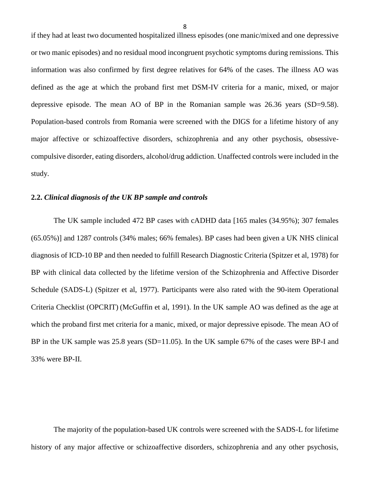if they had at least two documented hospitalized illness episodes (one manic/mixed and one depressive or two manic episodes) and no residual mood incongruent psychotic symptoms during remissions. This information was also confirmed by first degree relatives for 64% of the cases. The illness AO was defined as the age at which the proband first met DSM-IV criteria for a manic, mixed, or major depressive episode. The mean AO of BP in the Romanian sample was 26.36 years (SD=9.58). Population-based controls from Romania were screened with the DIGS for a lifetime history of any major affective or schizoaffective disorders, schizophrenia and any other psychosis, obsessivecompulsive disorder, eating disorders, alcohol/drug addiction. Unaffected controls were included in the study.

### **2.2.** *Clinical diagnosis of the UK BP sample and controls*

The UK sample included 472 BP cases with cADHD data [165 males (34.95%); 307 females (65.05%)] and 1287 controls (34% males; 66% females). BP cases had been given a UK NHS clinical diagnosis of ICD-10 BP and then needed to fulfill Research Diagnostic Criteria (Spitzer et al, 1978) for BP with clinical data collected by the lifetime version of the Schizophrenia and Affective Disorder Schedule (SADS-L) (Spitzer et al, 1977). Participants were also rated with the 90-item Operational Criteria Checklist (OPCRIT) (McGuffin et al, 1991). In the UK sample AO was defined as the age at which the proband first met criteria for a manic, mixed, or major depressive episode. The mean AO of BP in the UK sample was 25.8 years (SD=11.05). In the UK sample 67% of the cases were BP-I and 33% were BP-II.

The majority of the population-based UK controls were screened with the SADS-L for lifetime history of any major affective or schizoaffective disorders, schizophrenia and any other psychosis,

8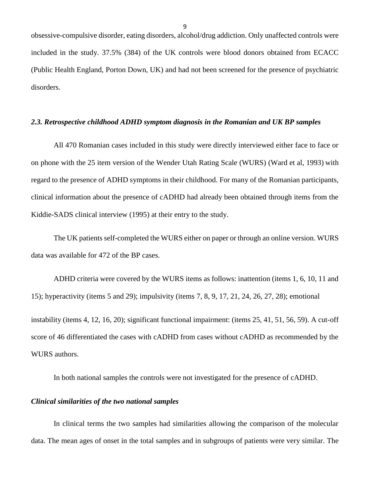obsessive-compulsive disorder, eating disorders, alcohol/drug addiction. Only unaffected controls were included in the study. 37.5% (384) of the UK controls were blood donors obtained from ECACC (Public Health England, Porton Down, UK) and had not been screened for the presence of psychiatric disorders.

### *2.3. Retrospective childhood ADHD symptom diagnosis in the Romanian and UK BP samples*

All 470 Romanian cases included in this study were directly interviewed either face to face or on phone with the 25 item version of the Wender Utah Rating Scale (WURS) (Ward et al, 1993) with regard to the presence of ADHD symptoms in their childhood. For many of the Romanian participants, clinical information about the presence of cADHD had already been obtained through items from the Kiddie-SADS clinical interview (1995) at their entry to the study.

The UK patients self-completed the WURS either on paper or through an online version. WURS data was available for 472 of the BP cases.

ADHD criteria were covered by the WURS items as follows: inattention (items 1, 6, 10, 11 and 15); hyperactivity (items 5 and 29); impulsivity (items 7, 8, 9, 17, 21, 24, 26, 27, 28); emotional instability (items 4, 12, 16, 20); significant functional impairment: (items 25, 41, 51, 56, 59). A cut-off score of 46 differentiated the cases with cADHD from cases without cADHD as recommended by the WURS authors.

In both national samples the controls were not investigated for the presence of cADHD.

### *Clinical similarities of the two national samples*

In clinical terms the two samples had similarities allowing the comparison of the molecular data. The mean ages of onset in the total samples and in subgroups of patients were very similar. The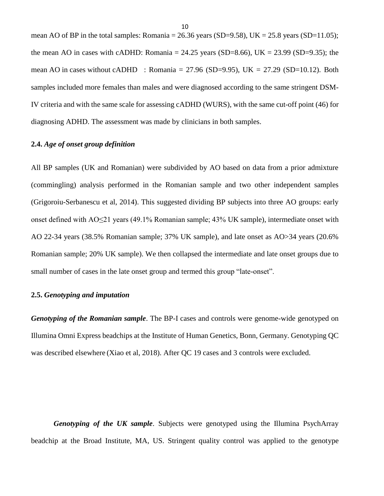mean AO of BP in the total samples: Romania =  $26.36$  years (SD=9.58), UK =  $25.8$  years (SD=11.05); the mean AO in cases with cADHD: Romania =  $24.25$  years (SD=8.66), UK =  $23.99$  (SD=9.35); the mean AO in cases without cADHD : Romania = 27.96 (SD=9.95), UK = 27.29 (SD=10.12). Both samples included more females than males and were diagnosed according to the same stringent DSM-IV criteria and with the same scale for assessing cADHD (WURS), with the same cut-off point (46) for diagnosing ADHD. The assessment was made by clinicians in both samples.

### **2.4.** *Age of onset group definition*

All BP samples (UK and Romanian) were subdivided by AO based on data from a prior admixture (commingling) analysis performed in the Romanian sample and two other independent samples (Grigoroiu-Serbanescu et al, 2014). This suggested dividing BP subjects into three AO groups: early onset defined with AO≤21 years (49.1% Romanian sample; 43% UK sample), intermediate onset with AO 22-34 years (38.5% Romanian sample; 37% UK sample), and late onset as AO>34 years (20.6% Romanian sample; 20% UK sample). We then collapsed the intermediate and late onset groups due to small number of cases in the late onset group and termed this group "late-onset".

### **2.5.** *Genotyping and imputation*

*Genotyping of the Romanian sample*. The BP-I cases and controls were genome-wide genotyped on Illumina Omni Express beadchips at the Institute of Human Genetics, Bonn, Germany. Genotyping QC was described elsewhere (Xiao et al, 2018). After QC 19 cases and 3 controls were excluded.

*Genotyping of the UK sample*. Subjects were genotyped using the Illumina PsychArray beadchip at the Broad Institute, MA, US. Stringent quality control was applied to the genotype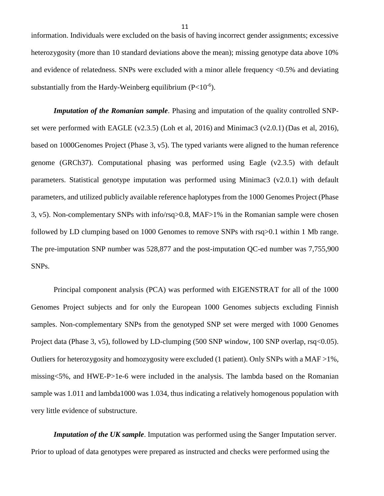information. Individuals were excluded on the basis of having incorrect gender assignments; excessive heterozygosity (more than 10 standard deviations above the mean); missing genotype data above 10% and evidence of relatedness. SNPs were excluded with a minor allele frequency <0.5% and deviating substantially from the Hardy-Weinberg equilibrium  $(P<10<sup>-6</sup>)$ .

*Imputation of the Romanian sample*. Phasing and imputation of the quality controlled SNPset were performed with EAGLE (v2.3.5) (Loh et al, 2016) and Minimac3 (v2.0.1) (Das et al, 2016), based on 1000Genomes Project (Phase 3, v5). The typed variants were aligned to the human reference genome (GRCh37). Computational phasing was performed using Eagle (v2.3.5) with default parameters. Statistical genotype imputation was performed using Minimac3 (v2.0.1) with default parameters, and utilized publicly available reference haplotypes from the 1000 Genomes Project (Phase 3, v5). Non-complementary SNPs with info/rsq>0.8, MAF>1% in the Romanian sample were chosen followed by LD clumping based on 1000 Genomes to remove SNPs with rsq>0.1 within 1 Mb range. The pre-imputation SNP number was 528,877 and the post-imputation QC-ed number was 7,755,900 SNPs.

Principal component analysis (PCA) was performed with EIGENSTRAT for all of the 1000 Genomes Project subjects and for only the European 1000 Genomes subjects excluding Finnish samples. Non-complementary SNPs from the genotyped SNP set were merged with 1000 Genomes Project data (Phase 3, v5), followed by LD-clumping (500 SNP window, 100 SNP overlap, rsq<0.05). Outliers for heterozygosity and homozygosity were excluded (1 patient). Only SNPs with a MAF >1%, missing<5%, and HWE-P>1e-6 were included in the analysis. The lambda based on the Romanian sample was 1.011 and lambda1000 was 1.034, thus indicating a relatively homogenous population with very little evidence of substructure.

*Imputation of the UK sample*. Imputation was performed using the Sanger Imputation server. Prior to upload of data genotypes were prepared as instructed and checks were performed using the

11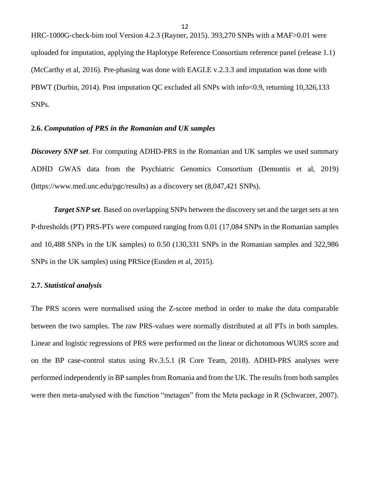HRC-1000G-check-bim tool Version 4.2.3 (Rayner, 2015). 393,270 SNPs with a MAF>0.01 were uploaded for imputation, applying the Haplotype Reference Consortium reference panel (release 1.1) (McCarthy et al, 2016). Pre-phasing was done with EAGLE v.2.3.3 and imputation was done with PBWT (Durbin, 2014). Post imputation QC excluded all SNPs with info<0.9, returning 10,326,133 SNPs.

### **2.6.** *Computation of PRS in the Romanian and UK samples*

*Discovery SNP set*. For computing ADHD-PRS in the Romanian and UK samples we used summary ADHD GWAS data from the Psychiatric Genomics Consortium (Demontis et al, 2019) (https://www.med.unc.edu/pgc/results) as a discovery set (8,047,421 SNPs).

*Target SNP set*. Based on overlapping SNPs between the discovery set and the target sets at ten P-thresholds (PT) PRS-PTs were computed ranging from 0.01 (17,084 SNPs in the Romanian samples and 10,488 SNPs in the UK samples) to 0.50 (130,331 SNPs in the Romanian samples and 322,986 SNPs in the UK samples) using PRSice (Eusden et al, 2015).

### **2.7.** *Statistical analysis*

The PRS scores were normalised using the Z-score method in order to make the data comparable between the two samples. The raw PRS-values were normally distributed at all PTs in both samples. Linear and logistic regressions of PRS were performed on the linear or dichotomous WURS score and on the BP case-control status using Rv.3.5.1 (R Core Team, 2018). ADHD-PRS analyses were performed independently in BP samples from Romania and from the UK. The results from both samples were then meta-analysed with the function "metagen" from the Meta package in R (Schwarzer, 2007).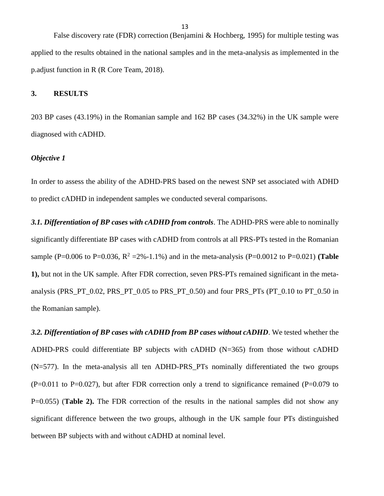False discovery rate (FDR) correction (Benjamini & Hochberg, 1995) for multiple testing was applied to the results obtained in the national samples and in the meta-analysis as implemented in the p.adjust function in R (R Core Team, 2018).

### **3. RESULTS**

203 BP cases (43.19%) in the Romanian sample and 162 BP cases (34.32%) in the UK sample were diagnosed with cADHD.

### *Objective 1*

In order to assess the ability of the ADHD-PRS based on the newest SNP set associated with ADHD to predict cADHD in independent samples we conducted several comparisons.

*3.1. Differentiation of BP cases with cADHD from controls*. The ADHD-PRS were able to nominally significantly differentiate BP cases with cADHD from controls at all PRS-PTs tested in the Romanian sample (P=0.006 to P=0.036,  $R^2 = 2\% - 1.1\%$ ) and in the meta-analysis (P=0.0012 to P=0.021) (**Table 1),** but not in the UK sample. After FDR correction, seven PRS-PTs remained significant in the metaanalysis (PRS\_PT\_0.02, PRS\_PT\_0.05 to PRS\_PT\_0.50) and four PRS\_PTs (PT\_0.10 to PT\_0.50 in the Romanian sample).

*3.2. Differentiation of BP cases with cADHD from BP cases without cADHD*. We tested whether the ADHD-PRS could differentiate BP subjects with cADHD (N=365) from those without cADHD (N=577). In the meta-analysis all ten ADHD-PRS\_PTs nominally differentiated the two groups  $(P=0.011$  to P=0.027), but after FDR correction only a trend to significance remained (P=0.079 to P=0.055) (**Table 2).** The FDR correction of the results in the national samples did not show any significant difference between the two groups, although in the UK sample four PTs distinguished between BP subjects with and without cADHD at nominal level.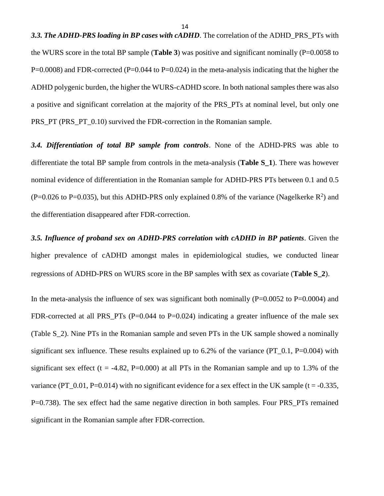**3.3. The ADHD-PRS loading in BP cases with cADHD**. The correlation of the ADHD PRS PTs with the WURS score in the total BP sample (**Table 3**) was positive and significant nominally (P=0.0058 to  $P=0.0008$ ) and FDR-corrected ( $P=0.044$  to  $P=0.024$ ) in the meta-analysis indicating that the higher the ADHD polygenic burden, the higher the WURS-cADHD score. In both national samples there was also a positive and significant correlation at the majority of the PRS\_PTs at nominal level, but only one PRS\_PT (PRS\_PT\_0.10) survived the FDR-correction in the Romanian sample.

*3.4. Differentiation of total BP sample from controls*. None of the ADHD-PRS was able to differentiate the total BP sample from controls in the meta-analysis (**Table S\_1**). There was however nominal evidence of differentiation in the Romanian sample for ADHD-PRS PTs between 0.1 and 0.5  $(P=0.026$  to P=0.035), but this ADHD-PRS only explained 0.8% of the variance (Nagelkerke R<sup>2</sup>) and the differentiation disappeared after FDR-correction.

*3.5. Influence of proband sex on ADHD-PRS correlation with cADHD in BP patients*. Given the higher prevalence of cADHD amongst males in epidemiological studies, we conducted linear regressions of ADHD-PRS on WURS score in the BP samples with sex as covariate (**Table S\_2**).

In the meta-analysis the influence of sex was significant both nominally ( $P=0.0052$  to  $P=0.0004$ ) and FDR-corrected at all PRS\_PTs (P=0.044 to P=0.024) indicating a greater influence of the male sex (Table S\_2). Nine PTs in the Romanian sample and seven PTs in the UK sample showed a nominally significant sex influence. These results explained up to  $6.2\%$  of the variance (PT\_0.1, P=0.004) with significant sex effect ( $t = -4.82$ , P=0.000) at all PTs in the Romanian sample and up to 1.3% of the variance (PT\_0.01, P=0.014) with no significant evidence for a sex effect in the UK sample (t = -0.335, P=0.738). The sex effect had the same negative direction in both samples. Four PRS\_PTs remained significant in the Romanian sample after FDR-correction.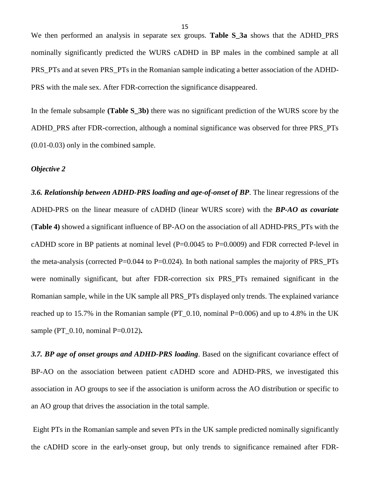We then performed an analysis in separate sex groups. **Table S\_3a** shows that the ADHD\_PRS nominally significantly predicted the WURS cADHD in BP males in the combined sample at all PRS\_PTs and at seven PRS\_PTs in the Romanian sample indicating a better association of the ADHD-PRS with the male sex. After FDR-correction the significance disappeared.

In the female subsample **(Table S\_3b)** there was no significant prediction of the WURS score by the ADHD\_PRS after FDR-correction, although a nominal significance was observed for three PRS\_PTs (0.01-0.03) only in the combined sample.

### *Objective 2*

*3.6. Relationship between ADHD-PRS loading and age-of-onset of BP*. The linear regressions of the ADHD-PRS on the linear measure of cADHD (linear WURS score) with the *BP-AO as covariate* (**Table 4)** showed a significant influence of BP-AO on the association of all ADHD-PRS\_PTs with the cADHD score in BP patients at nominal level (P=0.0045 to P=0.0009) and FDR corrected P-level in the meta-analysis (corrected P=0.044 to P=0.024). In both national samples the majority of PRS\_PTs were nominally significant, but after FDR-correction six PRS\_PTs remained significant in the Romanian sample, while in the UK sample all PRS\_PTs displayed only trends. The explained variance reached up to 15.7% in the Romanian sample (PT\_0.10, nominal  $P=0.006$ ) and up to 4.8% in the UK sample (PT\_0.10, nominal P=0.012)**.**

*3.7. BP age of onset groups and ADHD-PRS loading*. Based on the significant covariance effect of BP-AO on the association between patient cADHD score and ADHD-PRS, we investigated this association in AO groups to see if the association is uniform across the AO distribution or specific to an AO group that drives the association in the total sample.

Eight PTs in the Romanian sample and seven PTs in the UK sample predicted nominally significantly the cADHD score in the early-onset group, but only trends to significance remained after FDR-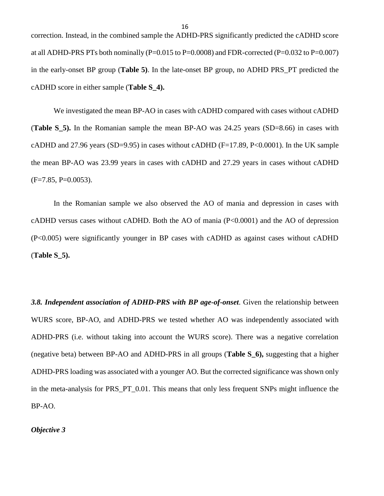correction. Instead, in the combined sample the ADHD-PRS significantly predicted the cADHD score at all ADHD-PRS PTs both nominally ( $P=0.015$  to  $P=0.0008$ ) and FDR-corrected ( $P=0.032$  to  $P=0.007$ ) in the early-onset BP group (**Table 5)**. In the late-onset BP group, no ADHD PRS\_PT predicted the cADHD score in either sample (**Table S\_4).**

We investigated the mean BP-AO in cases with cADHD compared with cases without cADHD (**Table S** 5). In the Romanian sample the mean BP-AO was 24.25 years (SD=8.66) in cases with cADHD and 27.96 years (SD=9.95) in cases without cADHD (F=17.89, P<0.0001). In the UK sample the mean BP-AO was 23.99 years in cases with cADHD and 27.29 years in cases without cADHD  $(F=7.85, P=0.0053)$ .

In the Romanian sample we also observed the AO of mania and depression in cases with cADHD versus cases without cADHD. Both the AO of mania (P<0.0001) and the AO of depression (P<0.005) were significantly younger in BP cases with cADHD as against cases without cADHD (**Table S\_5).**

*3.8. Independent association of ADHD-PRS with BP age-of-onset*. Given the relationship between WURS score, BP-AO, and ADHD-PRS we tested whether AO was independently associated with ADHD-PRS (i.e. without taking into account the WURS score). There was a negative correlation (negative beta) between BP-AO and ADHD-PRS in all groups (**Table S\_6),** suggesting that a higher ADHD-PRS loading was associated with a younger AO. But the corrected significance was shown only in the meta-analysis for PRS\_PT\_0.01. This means that only less frequent SNPs might influence the BP-AO.

*Objective 3*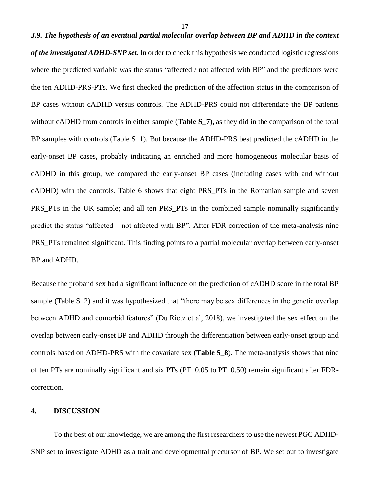# *3.9. The hypothesis of an eventual partial molecular overlap between BP and ADHD in the context of the investigated ADHD-SNP set.* In order to check this hypothesis we conducted logistic regressions where the predicted variable was the status "affected / not affected with BP" and the predictors were the ten ADHD-PRS-PTs. We first checked the prediction of the affection status in the comparison of BP cases without cADHD versus controls. The ADHD-PRS could not differentiate the BP patients without cADHD from controls in either sample (**Table S\_7),** as they did in the comparison of the total BP samples with controls (Table S<sub>1</sub>). But because the ADHD-PRS best predicted the cADHD in the early-onset BP cases, probably indicating an enriched and more homogeneous molecular basis of cADHD in this group, we compared the early-onset BP cases (including cases with and without cADHD) with the controls. Table 6 shows that eight PRS\_PTs in the Romanian sample and seven PRS\_PTs in the UK sample; and all ten PRS\_PTs in the combined sample nominally significantly predict the status "affected – not affected with BP". After FDR correction of the meta-analysis nine PRS\_PTs remained significant. This finding points to a partial molecular overlap between early-onset BP and ADHD.

Because the proband sex had a significant influence on the prediction of cADHD score in the total BP sample (Table S 2) and it was hypothesized that "there may be sex differences in the genetic overlap between ADHD and comorbid features" (Du Rietz et al, 2018), we investigated the sex effect on the overlap between early-onset BP and ADHD through the differentiation between early-onset group and controls based on ADHD-PRS with the covariate sex (**Table S\_8**). The meta-analysis shows that nine of ten PTs are nominally significant and six PTs (PT\_0.05 to PT\_0.50) remain significant after FDRcorrection.

### **4. DISCUSSION**

To the best of our knowledge, we are among the first researchers to use the newest PGC ADHD-SNP set to investigate ADHD as a trait and developmental precursor of BP. We set out to investigate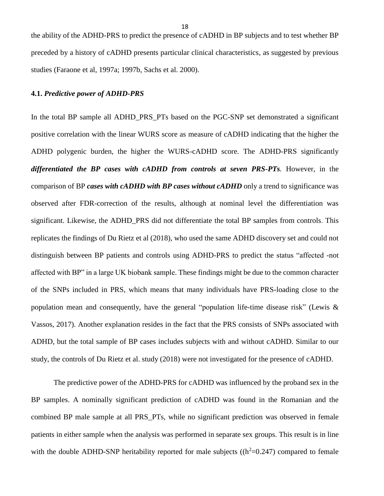the ability of the ADHD-PRS to predict the presence of cADHD in BP subjects and to test whether BP preceded by a history of cADHD presents particular clinical characteristics, as suggested by previous studies (Faraone et al, 1997a; 1997b, Sachs et al. 2000).

### **4.1.** *Predictive power of ADHD-PRS*

In the total BP sample all ADHD\_PRS\_PTs based on the PGC-SNP set demonstrated a significant positive correlation with the linear WURS score as measure of cADHD indicating that the higher the ADHD polygenic burden, the higher the WURS-cADHD score. The ADHD-PRS significantly *differentiated the BP cases with cADHD from controls at seven PRS-PTs.* However, in the comparison of BP *cases with cADHD with BP cases without cADHD* only a trend to significance was observed after FDR-correction of the results, although at nominal level the differentiation was significant. Likewise, the ADHD\_PRS did not differentiate the total BP samples from controls. This replicates the findings of Du Rietz et al (2018), who used the same ADHD discovery set and could not distinguish between BP patients and controls using ADHD-PRS to predict the status "affected -not affected with BP" in a large UK biobank sample. These findings might be due to the common character of the SNPs included in PRS, which means that many individuals have PRS-loading close to the population mean and consequently, have the general "population life-time disease risk" (Lewis & Vassos, 2017). Another explanation resides in the fact that the PRS consists of SNPs associated with ADHD, but the total sample of BP cases includes subjects with and without cADHD. Similar to our study, the controls of Du Rietz et al. study (2018) were not investigated for the presence of cADHD.

The predictive power of the ADHD-PRS for cADHD was influenced by the proband sex in the BP samples. A nominally significant prediction of cADHD was found in the Romanian and the combined BP male sample at all PRS\_PTs, while no significant prediction was observed in female patients in either sample when the analysis was performed in separate sex groups. This result is in line with the double ADHD-SNP heritability reported for male subjects  $((h<sup>2</sup>=0.247)$  compared to female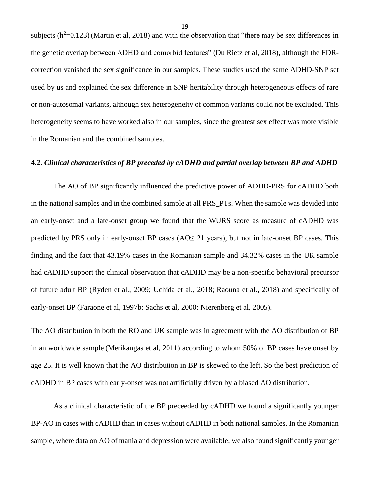subjects ( $h^2$ =0.123) (Martin et al, 2018) and with the observation that "there may be sex differences in the genetic overlap between ADHD and comorbid features" (Du Rietz et al, 2018), although the FDRcorrection vanished the sex significance in our samples. These studies used the same ADHD-SNP set used by us and explained the sex difference in SNP heritability through heterogeneous effects of rare or non-autosomal variants, although sex heterogeneity of common variants could not be excluded. This heterogeneity seems to have worked also in our samples, since the greatest sex effect was more visible in the Romanian and the combined samples.

### **4.2.** *Clinical characteristics of BP preceded by cADHD and partial overlap between BP and ADHD*

The AO of BP significantly influenced the predictive power of ADHD-PRS for cADHD both in the national samples and in the combined sample at all PRS\_PTs. When the sample was devided into an early-onset and a late-onset group we found that the WURS score as measure of cADHD was predicted by PRS only in early-onset BP cases  $(AO \leq 21)$  years), but not in late-onset BP cases. This finding and the fact that 43.19% cases in the Romanian sample and 34.32% cases in the UK sample had cADHD support the clinical observation that cADHD may be a non-specific behavioral precursor of future adult BP (Ryden et al., 2009; Uchida et al., 2018; Raouna et al., 2018) and specifically of early-onset BP (Faraone et al, 1997b; Sachs et al, 2000; Nierenberg et al, 2005).

The AO distribution in both the RO and UK sample was in agreement with the AO distribution of BP in an worldwide sample (Merikangas et al, 2011) according to whom 50% of BP cases have onset by age 25. It is well known that the AO distribution in BP is skewed to the left. So the best prediction of cADHD in BP cases with early-onset was not artificially driven by a biased AO distribution.

As a clinical characteristic of the BP preceeded by cADHD we found a significantly younger BP-AO in cases with cADHD than in cases without cADHD in both national samples. In the Romanian sample, where data on AO of mania and depression were available, we also found significantly younger

19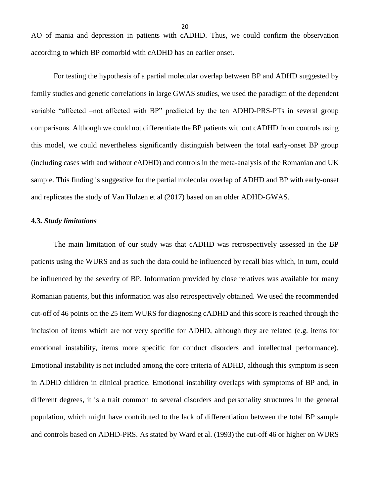AO of mania and depression in patients with cADHD. Thus, we could confirm the observation according to which BP comorbid with cADHD has an earlier onset.

For testing the hypothesis of a partial molecular overlap between BP and ADHD suggested by family studies and genetic correlations in large GWAS studies, we used the paradigm of the dependent variable "affected –not affected with BP" predicted by the ten ADHD-PRS-PTs in several group comparisons. Although we could not differentiate the BP patients without cADHD from controls using this model, we could nevertheless significantly distinguish between the total early-onset BP group (including cases with and without cADHD) and controls in the meta-analysis of the Romanian and UK sample. This finding is suggestive for the partial molecular overlap of ADHD and BP with early-onset and replicates the study of Van Hulzen et al (2017) based on an older ADHD-GWAS.

### **4.3***. Study limitations*

The main limitation of our study was that cADHD was retrospectively assessed in the BP patients using the WURS and as such the data could be influenced by recall bias which, in turn, could be influenced by the severity of BP. Information provided by close relatives was available for many Romanian patients, but this information was also retrospectively obtained. We used the recommended cut-off of 46 points on the 25 item WURS for diagnosing cADHD and this score is reached through the inclusion of items which are not very specific for ADHD, although they are related (e.g. items for emotional instability, items more specific for conduct disorders and intellectual performance). Emotional instability is not included among the core criteria of ADHD, although this symptom is seen in ADHD children in clinical practice. Emotional instability overlaps with symptoms of BP and, in different degrees, it is a trait common to several disorders and personality structures in the general population, which might have contributed to the lack of differentiation between the total BP sample and controls based on ADHD-PRS. As stated by Ward et al. (1993) the cut-off 46 or higher on WURS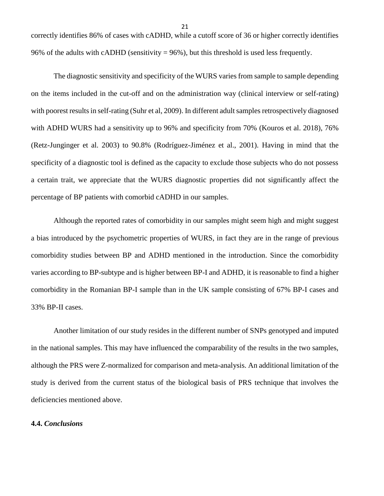correctly identifies 86% of cases with cADHD, while a cutoff score of 36 or higher correctly identifies 96% of the adults with cADHD (sensitivity  $= 96\%$ ), but this threshold is used less frequently.

The diagnostic sensitivity and specificity of the WURS varies from sample to sample depending on the items included in the cut-off and on the administration way (clinical interview or self-rating) with poorest results in self-rating (Suhr et al, 2009). In different adult samples retrospectively diagnosed with ADHD WURS had a sensitivity up to 96% and specificity from 70% (Kouros et al. 2018), 76% (Retz-Junginger et al. 2003) to 90.8% (Rodríguez-Jiménez et al., 2001). Having in mind that the specificity of a diagnostic tool is defined as the capacity to exclude those subjects who do not possess a certain trait, we appreciate that the WURS diagnostic properties did not significantly affect the percentage of BP patients with comorbid cADHD in our samples.

Although the reported rates of comorbidity in our samples might seem high and might suggest a bias introduced by the psychometric properties of WURS, in fact they are in the range of previous comorbidity studies between BP and ADHD mentioned in the introduction. Since the comorbidity varies according to BP-subtype and is higher between BP-I and ADHD, it is reasonable to find a higher comorbidity in the Romanian BP-I sample than in the UK sample consisting of 67% BP-I cases and 33% BP-II cases.

Another limitation of our study resides in the different number of SNPs genotyped and imputed in the national samples. This may have influenced the comparability of the results in the two samples, although the PRS were Z-normalized for comparison and meta-analysis. An additional limitation of the study is derived from the current status of the biological basis of PRS technique that involves the deficiencies mentioned above.

### **4.4.** *Conclusions*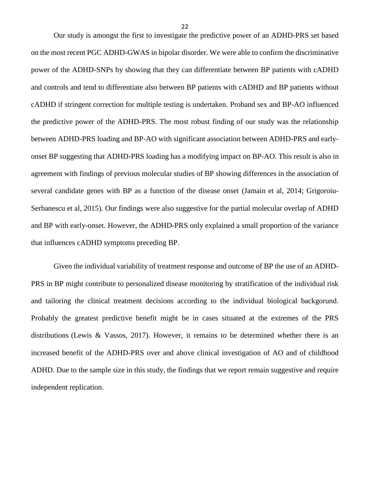Our study is amongst the first to investigate the predictive power of an ADHD-PRS set based on the most recent PGC ADHD-GWAS in bipolar disorder. We were able to confirm the discriminative power of the ADHD-SNPs by showing that they can differentiate between BP patients with cADHD and controls and tend to differentiate also between BP patients with cADHD and BP patients without cADHD if stringent correction for multiple testing is undertaken. Proband sex and BP-AO influenced the predictive power of the ADHD-PRS. The most robust finding of our study was the relationship between ADHD-PRS loading and BP-AO with significant association between ADHD-PRS and earlyonset BP suggesting that ADHD-PRS loading has a modifying impact on BP-AO. This result is also in agreement with findings of previous molecular studies of BP showing differences in the association of several candidate genes with BP as a function of the disease onset (Jamain et al, 2014; Grigoroiu-Serbanescu et al, 2015). Our findings were also suggestive for the partial molecular overlap of ADHD and BP with early-onset. However, the ADHD-PRS only explained a small proportion of the variance that influences cADHD symptoms preceding BP.

Given the individual variability of treatment response and outcome of BP the use of an ADHD-PRS in BP might contribute to personalized disease monitoring by stratification of the individual risk and tailoring the clinical treatment decisions according to the individual biological backgorund. Probably the greatest predictive benefit might be in cases situated at the extremes of the PRS distributions (Lewis & Vassos, 2017). However, it remains to be determined whether there is an increased benefit of the ADHD-PRS over and above clinical investigation of AO and of childhood ADHD. Due to the sample size in this study, the findings that we report remain suggestive and require independent replication.

22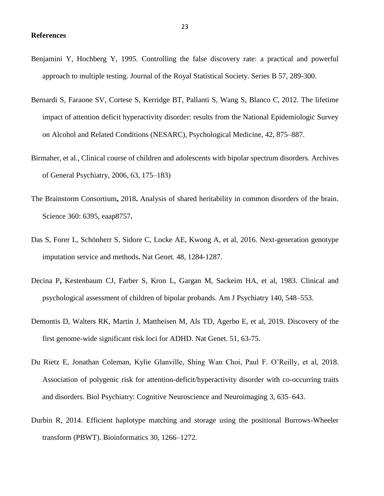- Benjamini Y, Hochberg Y, 1995. Controlling the false discovery rate: a practical and powerful approach to multiple testing. Journal of the Royal Statistical Society. Series B 57, 289-300.
- [Bernardi](https://www.ncbi.nlm.nih.gov/pubmed/?term=Bernardi%20S%5BAuthor%5D&cauthor=true&cauthor_uid=21846424) S, [Faraone SV,](https://www.ncbi.nlm.nih.gov/pubmed/?term=Faraone%20SV%5BAuthor%5D&cauthor=true&cauthor_uid=21846424) [Cortese S,](https://www.ncbi.nlm.nih.gov/pubmed/?term=Cortese%20S%5BAuthor%5D&cauthor=true&cauthor_uid=21846424) [Kerridge BT,](https://www.ncbi.nlm.nih.gov/pubmed/?term=Kerridge%20BT%5BAuthor%5D&cauthor=true&cauthor_uid=21846424) [Pallanti S,](https://www.ncbi.nlm.nih.gov/pubmed/?term=Pallanti%20S%5BAuthor%5D&cauthor=true&cauthor_uid=21846424) [Wang S,](https://www.ncbi.nlm.nih.gov/pubmed/?term=Wang%20S%5BAuthor%5D&cauthor=true&cauthor_uid=21846424) [Blanco C](https://www.ncbi.nlm.nih.gov/pubmed/?term=Blanco%20C%5BAuthor%5D&cauthor=true&cauthor_uid=21846424), 2012. The lifetime impact of attention deficit hyperactivity disorder: results from the National Epidemiologic Survey on Alcohol and Related Conditions (NESARC), Psychological Medicine, 42, 875–887.
- Birmaher, et al., Clinical course of children and adolescents with bipolar spectrum disorders*.* Archives of General Psychiatry, 2006, 63, 175–183)
- The Brainstorm Consortium**,** 2018**.** Analysis of shared heritability in common disorders of the brain. Science 360: 6395, eaap8757**.**
- Das S, Forer L, Schönherr S, Sidore C, Locke AE, Kwong A, et al, 2016. Next-generation genotype imputation service and methods**.** Nat Genet*.* 48, 1284-1287.
- Decina P**,** Kestenbaum CJ, Farber S, Kron L, Gargan M, Sackeim HA, et al, 1983. Clinical and psychological assessment of children of bipolar probands. Am J Psychiatry 140, 548–553.
- Demontis D, Walters RK, Martin J, Mattheisen M, Als TD, Agerbo E, et al, 2019. Discovery of the first genome-wide significant risk loci for ADHD. Nat Genet. 51, 63-75.
- Du Rietz E, Jonathan Coleman, Kylie Glanville, Shing Wan Choi, Paul F. O'Reilly, et al, 2018. Association of polygenic risk for attention-deficit/hyperactivity disorder with co-occurring traits and disorders. Biol Psychiatry: Cognitive Neuroscience and Neuroimaging 3, 635–643.
- Durbin R, 2014. Efficient haplotype matching and storage using the positional Burrows-Wheeler transform (PBWT). Bioinformatics 30, 1266–1272.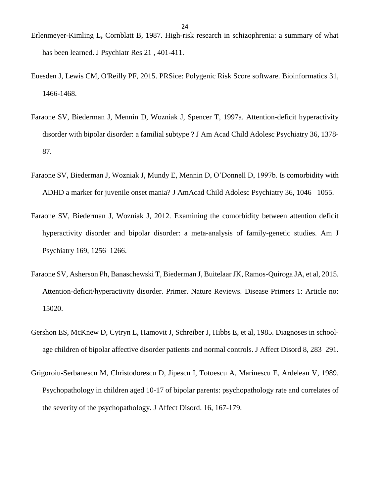- Erlenmeyer-Kimling L**,** Cornblatt B, 1987. High-risk research in schizophrenia: a summary of what has been learned. J Psychiatr Res 21 , 401-411.
- Euesden J, Lewis CM, O'Reilly PF, 2015. PRSice: Polygenic Risk Score software. Bioinformatics 31, 1466-1468.
- Faraone SV, Biederman J, Mennin D, Wozniak J, Spencer T, 1997a. Attention-deficit hyperactivity disorder with bipolar disorder: a familial subtype ? J Am Acad Child Adolesc Psychiatry 36, 1378- 87.
- Faraone SV, Biederman J, Wozniak J, Mundy E, Mennin D, O'Donnell D, 1997b. Is comorbidity with ADHD a marker for juvenile onset mania? J AmAcad Child Adolesc Psychiatry 36, 1046 –1055.
- Faraone SV, Biederman J, Wozniak J, 2012. Examining the comorbidity between attention deficit hyperactivity disorder and bipolar disorder: a meta-analysis of family-genetic studies. Am J Psychiatry 169, 1256–1266.
- Faraone SV, Asherson Ph, Banaschewski T, Biederman J, Buitelaar JK, Ramos-Quiroga JA, et al, 2015. Attention-deficit/hyperactivity disorder. Primer. Nature Reviews. Disease Primers 1: Article no: 15020.
- Gershon ES, McKnew D, Cytryn L, Hamovit J, Schreiber J, Hibbs E, et al, 1985. Diagnoses in schoolage children of bipolar affective disorder patients and normal controls. J Affect Disord 8, 283–291.
- Grigoroiu-Serbanescu M, Christodorescu D, Jipescu I, Totoescu A, Marinescu E, Ardelean V, 1989. Psychopathology in children aged 10-17 of bipolar parents: psychopathology rate and correlates of the severity of the psychopathology. J Affect Disord. 16, 167-179.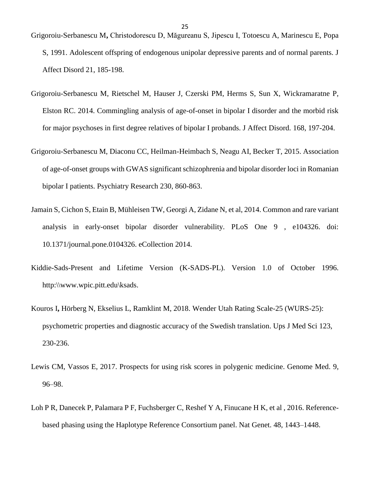- Grigoroiu-Serbanescu M**,** Christodorescu D, Măgureanu S, Jipescu I, Totoescu A, Marinescu E, Popa S, 1991. Adolescent offspring of endogenous unipolar depressive parents and of normal parents. J Affect Disord 21, 185-198.
- Grigoroiu-Serbanescu M, Rietschel M, Hauser J, Czerski PM, Herms S, Sun X, Wickramaratne P, Elston RC. 2014. Commingling analysis of age-of-onset in bipolar I disorder and the morbid risk for major psychoses in first degree relatives of bipolar I probands. J Affect Disord*.* 168, 197-204.
- Grigoroiu-Serbanescu M, Diaconu CC, Heilman-Heimbach S, Neagu AI, Becker T, 2015. Association of age-of-onset groups with GWAS significant schizophrenia and bipolar disorder loci in Romanian bipolar I patients. Psychiatry Research 230, 860-863.
- [Jamain S,](https://www.ncbi.nlm.nih.gov/pubmed/?term=Jamain%20S%5BAuthor%5D&cauthor=true&cauthor_uid=25111785) [Cichon S,](https://www.ncbi.nlm.nih.gov/pubmed/?term=Cichon%20S%5BAuthor%5D&cauthor=true&cauthor_uid=25111785) [Etain B,](https://www.ncbi.nlm.nih.gov/pubmed/?term=Etain%20B%5BAuthor%5D&cauthor=true&cauthor_uid=25111785) [Mühleisen TW,](https://www.ncbi.nlm.nih.gov/pubmed/?term=M%C3%BChleisen%20TW%5BAuthor%5D&cauthor=true&cauthor_uid=25111785) [Georgi A,](https://www.ncbi.nlm.nih.gov/pubmed/?term=Georgi%20A%5BAuthor%5D&cauthor=true&cauthor_uid=25111785) [Zidane N,](https://www.ncbi.nlm.nih.gov/pubmed/?term=Zidane%20N%5BAuthor%5D&cauthor=true&cauthor_uid=25111785) et al, 2014. Common and rare variant analysis in early-onset bipolar disorder vulnerability. PLoS One 9 , e104326. doi: 10.1371/journal.pone.0104326. eCollection 2014.
- Kiddie-Sads-Present and Lifetime Version (K-SADS-PL). Version 1.0 of October 1996. http:\\www.wpic.pitt.edu\ksads.
- Kouros I**,** Hörberg N, Ekselius L, Ramklint M, 2018. Wender Utah Rating Scale-25 (WURS-25): psychometric properties and diagnostic accuracy of the Swedish translation. Ups J Med Sci 123, 230-236.
- Lewis CM, Vassos E, 2017. Prospects for using risk scores in polygenic medicine. Genome Med. 9, 96–98.
- Loh P R, Danecek P, Palamara P F, Fuchsberger C, Reshef Y A, Finucane H K, et al , 2016. Referencebased phasing using the Haplotype Reference Consortium panel. Nat Genet. 48, 1443–1448.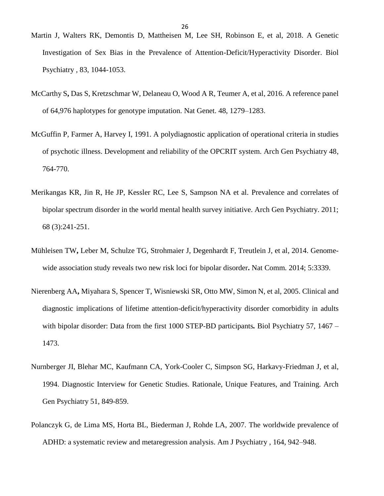- Martin J, Walters RK, Demontis D, Mattheisen M, Lee SH, Robinson E, et al, 2018. A Genetic Investigation of Sex Bias in the Prevalence of Attention-Deficit/Hyperactivity Disorder. Biol Psychiatry *,* 83, 1044-1053.
- McCarthy S**,** Das S, Kretzschmar W, Delaneau O, Wood A R, Teumer A, et al, 2016. A reference panel of 64,976 haplotypes for genotype imputation. Nat Genet. 48, 1279–1283.
- McGuffin P, Farmer A, Harvey I, 1991. A polydiagnostic application of operational criteria in studies of psychotic illness. Development and reliability of the OPCRIT system. Arch Gen Psychiatry 48, 764-770.
- Merikangas KR, Jin R, He JP, Kessler RC, Lee S, Sampson NA et al. Prevalence and correlates of bipolar spectrum disorder in the world mental health survey initiative. Arch Gen Psychiatry. 2011; 68 (3):241-251.
- Mühleisen TW**,** Leber M, Schulze TG, Strohmaier J, Degenhardt F, Treutlein J, et al, 2014. Genomewide association study reveals two new risk loci for bipolar disorder**.** Nat Comm*.* 2014; 5:3339.
- Nierenberg AA**,** Miyahara S, Spencer T, Wisniewski SR, Otto MW, Simon N, et al, 2005. Clinical and diagnostic implications of lifetime attention-deficit/hyperactivity disorder comorbidity in adults with bipolar disorder: Data from the first 1000 STEP-BD participants*.* Biol Psychiatry 57, 1467 – 1473.
- Nurnberger JI, Blehar MC, Kaufmann CA, York-Cooler C, Simpson SG, Harkavy-Friedman J, et al, 1994. Diagnostic Interview for Genetic Studies. Rationale, Unique Features, and Training. Arch Gen Psychiatry 51, 849-859.
- Polanczyk G, de Lima MS, Horta BL, Biederman J, Rohde LA, 2007. The worldwide prevalence of ADHD: a systematic review and metaregression analysis. Am J Psychiatry , 164, 942–948.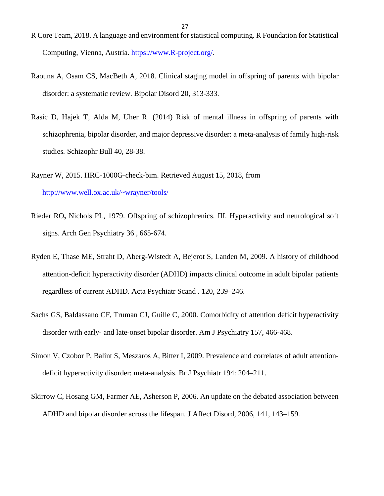- R Core Team, 2018. A language and environment for statistical computing. R Foundation for Statistical Computing, Vienna, Austria. [https://www.R-project.org/.](https://www.r-project.org/)
- Raouna A, Osam CS, MacBeth A, 2018. Clinical staging model in offspring of parents with bipolar disorder: a systematic review. Bipolar Disord 20, 313-333.
- Rasic D, Hajek T, Alda M, Uher R. (2014) Risk of mental illness in offspring of parents with schizophrenia, bipolar disorder, and major depressive disorder: a meta-analysis of family high-risk studies*.* Schizophr Bull 40, 28-38.
- Rayner W, 2015. HRC-1000G-check-bim. Retrieved August 15, 2018, from <http://www.well.ox.ac.uk/~wrayner/tools/>
- Rieder RO**,** Nichols PL, 1979. Offspring of schizophrenics. III. Hyperactivity and neurological soft signs. Arch Gen Psychiatry 36 , 665-674.
- Ryden E, Thase ME, Straht D, Aberg-Wistedt A, Bejerot S, Landen M, 2009. A history of childhood attention-deficit hyperactivity disorder (ADHD) impacts clinical outcome in adult bipolar patients regardless of current ADHD. Acta Psychiatr Scand . 120, 239–246.
- Sachs GS, Baldassano CF, Truman CJ, Guille C, 2000. Comorbidity of attention deficit hyperactivity disorder with early- and late-onset bipolar disorder. Am J Psychiatry 157, 466-468.
- Simon V, Czobor P, Balint S, Meszaros A, Bitter I, 2009. Prevalence and correlates of adult attentiondeficit hyperactivity disorder: meta-analysis. Br J Psychiatr 194: 204–211.
- Skirrow C, Hosang GM, Farmer AE, Asherson P, 2006. An update on the debated association between ADHD and bipolar disorder across the lifespan. J Affect Disord, 2006, 141, 143–159.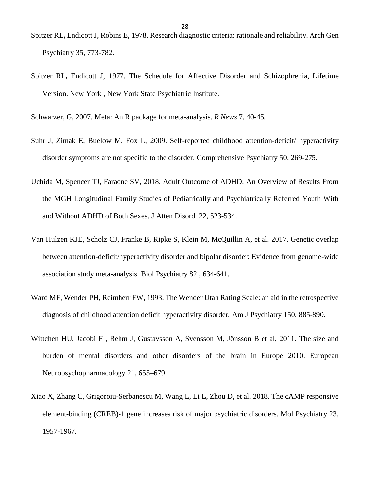- Spitzer RL**,** Endicott J, Robins E, 1978. Research diagnostic criteria: rationale and reliability. Arch Gen Psychiatry 35, 773-782.
- Spitzer RL**,** Endicott J, 1977. The Schedule for Affective Disorder and Schizophrenia, Lifetime Version. New York , New York State Psychiatric Institute.

Schwarzer, G, 2007. Meta: An R package for meta-analysis. *R News* 7, 40-45.

- Suhr J, Zimak E, Buelow M, Fox L, 2009. Self-reported childhood attention-deficit/ hyperactivity disorder symptoms are not specific to the disorder. Comprehensive Psychiatry 50, 269-275.
- Uchida M, Spencer TJ, Faraone SV, 2018. Adult Outcome of ADHD: An Overview of Results From the MGH Longitudinal Family Studies of Pediatrically and Psychiatrically Referred Youth With and Without ADHD of Both Sexes. J Atten Disord. 22, 523-534.
- Van Hulzen KJE, Scholz CJ, Franke B, Ripke S, Klein M, McQuillin A, et al. 2017. Genetic overlap between attention-deficit/hyperactivity disorder and bipolar disorder: Evidence from genome-wide association study meta-analysis. Biol Psychiatry 82 , 634-641.
- Ward MF, Wender PH, Reimherr FW, 1993. The Wender Utah Rating Scale: an aid in the retrospective diagnosis of childhood attention deficit hyperactivity disorder*.* Am J Psychiatry 150, 885-890.
- Wittchen HU, Jacobi F , Rehm J, Gustavsson A, Svensson M, Jönsson B et al, 2011**.** The size and burden of mental disorders and other disorders of the brain in Europe 2010. European Neuropsychopharmacology 21, 655–679.
- Xiao X, Zhang C, Grigoroiu-Serbanescu M, Wang L, Li L, Zhou D, et al. 2018. The cAMP responsive element-binding (CREB)-1 gene increases risk of major psychiatric disorders. Mol Psychiatry 23, 1957-1967.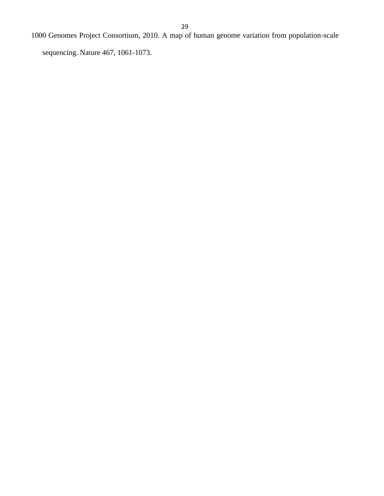1000 Genomes Project Consortium, 2010. A map of human genome variation from population-scale

sequencing. Nature 467, 1061-1073.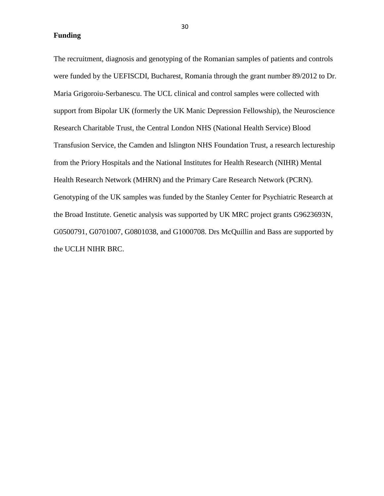**Funding**

The recruitment, diagnosis and genotyping of the Romanian samples of patients and controls were funded by the UEFISCDI, Bucharest, Romania through the grant number 89/2012 to Dr. Maria Grigoroiu-Serbanescu. The UCL clinical and control samples were collected with support from Bipolar UK (formerly the UK Manic Depression Fellowship), the Neuroscience Research Charitable Trust, the Central London NHS (National Health Service) Blood Transfusion Service, the Camden and Islington NHS Foundation Trust, a research lectureship from the Priory Hospitals and the National Institutes for Health Research (NIHR) Mental Health Research Network (MHRN) and the Primary Care Research Network (PCRN). Genotyping of the UK samples was funded by the Stanley Center for Psychiatric Research at the Broad Institute. Genetic analysis was supported by UK MRC project grants G9623693N, G0500791, G0701007, G0801038, and G1000708. Drs McQuillin and Bass are supported by the UCLH NIHR BRC.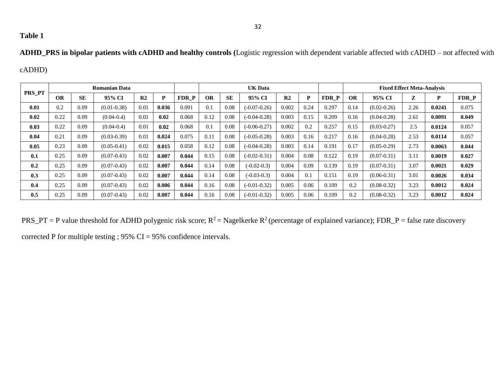## **Table 1**

**ADHD\_PRS in bipolar patients with cADHD and healthy controls (**Logistic regression with dependent variable affected with cADHD – not affected with

## cADHD)

|        |           |           |                 | <b>UK Data</b> |       |       |           |           | <b>Fixed Effect Meta-Analysis</b> |                |      |       |           |                 |      |        |       |
|--------|-----------|-----------|-----------------|----------------|-------|-------|-----------|-----------|-----------------------------------|----------------|------|-------|-----------|-----------------|------|--------|-------|
| PRS PT | <b>OR</b> | <b>SE</b> | 95% CI          | R <sub>2</sub> | P     | FDR P | <b>OR</b> | <b>SE</b> | 95% CI                            | R <sub>2</sub> | P    | FDR P | <b>OR</b> | 95% CI          | Z    | P      | FDR P |
| 0.01   | 0.2       | 0.09      | $(0.01 - 0.38)$ | 0.01           | 0.036 | 0.091 | 0.1       | 0.08      | $(-0.07 - 0.26)$                  | 0.002          | 0.24 | 0.297 | 0.14      | $(0.02 - 0.26)$ | 2.26 | 0.0241 | 0.075 |
| 0.02   | 0.22      | 0.09      | $(0.04 - 0.4)$  | 0.01           | 0.02  | 0.068 | 0.12      | 0.08      | $(-0.04 - 0.28)$                  | 0.003          | 0.15 | 0.209 | 0.16      | $(0.04 - 0.28)$ | 2.61 | 0.0091 | 0.049 |
| 0.03   | 0.22      | 0.09      | $(0.04 - 0.4)$  | 0.01           | 0.02  | 0.068 | 0.1       | 0.08      | $(-0.06 - 0.27)$                  | 0.002          | 0.2  | 0.257 | 0.15      | $(0.03 - 0.27)$ | 2.5  | 0.0124 | 0.057 |
| 0.04   | 0.21      | 0.09      | $(0.03 - 0.39)$ | 0.01           | 0.024 | 0.075 | 0.11      | 0.08      | $(-0.05 - 0.28)$                  | 0.003          | 0.16 | 0.217 | 0.16      | $(0.04 - 0.28)$ | 2.53 | 0.0114 | 0.057 |
| 0.05   | 0.23      | 0.09      | $(0.05 - 0.41)$ | 0.02           | 0.015 | 0.058 | 0.12      | 0.08      | $(-0.04 - 0.28)$                  | 0.003          | 0.14 | 0.191 | 0.17      | $(0.05 - 0.29)$ | 2.73 | 0.0063 | 0.044 |
| 0.1    | 0.25      | 0.09      | $(0.07 - 0.43)$ | 0.02           | 0.007 | 0.044 | 0.15      | 0.08      | $(-0.02 - 0.31)$                  | 0.004          | 0.08 | 0.122 | 0.19      | $(0.07 - 0.31)$ | 3.11 | 0.0019 | 0.027 |
| 0.2    | 0.25      | 0.09      | $(0.07 - 0.43)$ | 0.02           | 0.007 | 0.044 | 0.14      | 0.08      | $(-0.02 - 0.3)$                   | 0.004          | 0.09 | 0.139 | 0.19      | $(0.07 - 0.31)$ | 3.07 | 0.0021 | 0.029 |
| 0.3    | 0.25      | 0.09      | $(0.07 - 0.43)$ | 0.02           | 0.007 | 0.044 | 0.14      | 0.08      | $(-0.03-0.3)$                     | 0.004          | 0.1  | 0.151 | 0.19      | $(0.06 - 0.31)$ | 3.01 | 0.0026 | 0.034 |
| 0.4    | 0.25      | 0.09      | $(0.07 - 0.43)$ | 0.02           | 0.006 | 0.044 | 0.16      | 0.08      | $(-0.01 - 0.32)$                  | 0.005          | 0.06 | 0.109 | 0.2       | $(0.08 - 0.32)$ | 3.23 | 0.0012 | 0.024 |
| 0.5    | 0.25      | 0.09      | $(0.07 - 0.43)$ | 0.02           | 0.007 | 0.044 | 0.16      | 0.08      | $(-0.01 - 0.32)$                  | 0.005          | 0.06 | 0.109 | 0.2       | $(0.08 - 0.32)$ | 3.23 | 0.0012 | 0.024 |

PRS\_PT = P value threshold for ADHD polygenic risk score;  $R^2$  = Nagelkerke  $R^2$  (percentage of explained variance); FDR\_P = false rate discovery

corrected P for multiple testing ; 95% CI = 95% confidence intervals.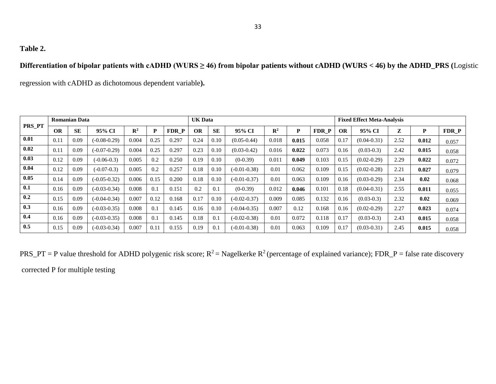## **Table 2.**

## **Differentiation of bipolar patients with cADHD (WURS ≥ 46) from bipolar patients without cADHD (WURS < 46) by the ADHD\_PRS (**Logistic

regression with cADHD as dichotomous dependent variable**).**

|               |           | <b>Romanian Data</b> |                  |                |      |       | <b>UK Data</b> |           |                  |                |       |       |           | <b>Fixed Effect Meta-Analysis</b> |      |       |       |
|---------------|-----------|----------------------|------------------|----------------|------|-------|----------------|-----------|------------------|----------------|-------|-------|-----------|-----------------------------------|------|-------|-------|
| <b>PRS_PT</b> | <b>OR</b> | <b>SE</b>            | 95% CI           | $\mathbb{R}^2$ | D    | FDR P | <b>OR</b>      | <b>SE</b> | 95% CI           | $\mathbb{R}^2$ | P     | FDR P | <b>OR</b> | 95% CI                            | Z    | P     | FDR P |
| 0.01          | 0.11      | 0.09                 | $(-0.08 - 0.29)$ | 0.004          | 0.25 | 0.297 | 0.24           | 0.10      | $(0.05 - 0.44)$  | 0.018          | 0.015 | 0.058 | 0.17      | $(0.04 - 0.31)$                   | 2.52 | 0.012 | 0.057 |
| 0.02          | 0.11      | 0.09                 | $(-0.07 - 0.29)$ | 0.004          | 0.25 | 0.297 | 0.23           | 0.10      | $(0.03 - 0.42)$  | 0.016          | 0.022 | 0.073 | 0.16      | $(0.03-0.3)$                      | 2.42 | 0.015 | 0.058 |
| 0.03          | 0.12      | 0.09                 | $(-0.06-0.3)$    | 0.005          | 0.2  | 0.250 | 0.19           | 0.10      | $(0-0.39)$       | 0.011          | 0.049 | 0.103 | 0.15      | $(0.02 - 0.29)$                   | 2.29 | 0.022 | 0.072 |
| 0.04          | 0.12      | 0.09                 | $(-0.07-0.3)$    | 0.005          | 0.2  | 0.257 | 0.18           | 0.10      | $(-0.01 - 0.38)$ | 0.01           | 0.062 | 0.109 | 0.15      | $(0.02 - 0.28)$                   | 2.21 | 0.027 | 0.079 |
| 0.05          | 0.14      | 0.09                 | $(-0.05 - 0.32)$ | 0.006          | 0.15 | 0.200 | 0.18           | 0.10      | $(-0.01 - 0.37)$ | 0.01           | 0.063 | 0.109 | 0.16      | $(0.03 - 0.29)$                   | 2.34 | 0.02  | 0.068 |
| 0.1           | 0.16      | 0.09                 | $(-0.03 - 0.34)$ | 0.008          | 0.1  | 0.151 | 0.2            | 0.1       | $(0-0.39)$       | 0.012          | 0.046 | 0.101 | 0.18      | $(0.04 - 0.31)$                   | 2.55 | 0.011 | 0.055 |
| 0.2           | 0.15      | 0.09                 | $(-0.04 - 0.34)$ | 0.007          | 0.12 | 0.168 | 0.17           | 0.10      | $(-0.02 - 0.37)$ | 0.009          | 0.085 | 0.132 | 0.16      | $(0.03-0.3)$                      | 2.32 | 0.02  | 0.069 |
| 0.3           | 0.16      | 0.09                 | $(-0.03 - 0.35)$ | 0.008          | 0.1  | 0.145 | 0.16           | 0.10      | $(-0.04 - 0.35)$ | 0.007          | 0.12  | 0.168 | 0.16      | $(0.02 - 0.29)$                   | 2.27 | 0.023 | 0.074 |
| 0.4           | 0.16      | 0.09                 | $(-0.03 - 0.35)$ | 0.008          | 0.1  | 0.145 | 0.18           | 0.1       | $(-0.02 - 0.38)$ | 0.01           | 0.072 | 0.118 | 0.17      | $(0.03-0.3)$                      | 2.43 | 0.015 | 0.058 |
| 0.5           | 0.15      | 0.09                 | $(-0.03 - 0.34)$ | 0.007          | 0.11 | 0.155 | 0.19           | 0.1       | $(-0.01 - 0.38)$ | 0.01           | 0.063 | 0.109 | 0.17      | $(0.03 - 0.31)$                   | 2.45 | 0.015 | 0.058 |

PRS\_PT = P value threshold for ADHD polygenic risk score;  $R^2$  = Nagelkerke  $R^2$  (percentage of explained variance); FDR\_P = false rate discovery corrected P for multiple testing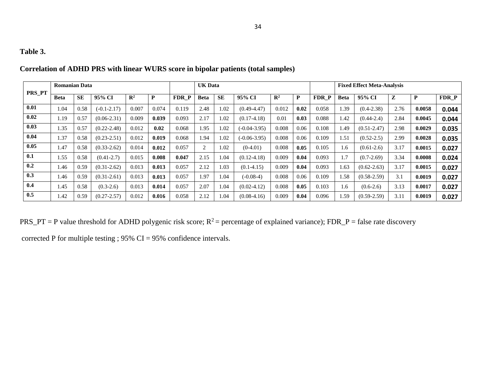## **Table 3.**

| PRS PT | <b>Romanian Data</b> |           |                 |                |       |                  | <b>UK Data</b> |           |                  |                |      |       | <b>Fixed Effect Meta-Analysis</b> |                 |      |        |       |  |
|--------|----------------------|-----------|-----------------|----------------|-------|------------------|----------------|-----------|------------------|----------------|------|-------|-----------------------------------|-----------------|------|--------|-------|--|
|        | <b>Beta</b>          | <b>SE</b> | 95% CI          | $\mathbb{R}^2$ | P     | FDR <sub>P</sub> | <b>Beta</b>    | <b>SE</b> | 95% CI           | $\mathbf{R}^2$ | P    | FDR P | <b>Beta</b>                       | 95% CI          |      | P      | FDR P |  |
| 0.01   | 1.04                 | 0.58      | $(-0.1 - 2.17)$ | 0.007          | 0.074 | 0.119            | 2.48           | 1.02      | $(0.49 - 4.47)$  | 0.012          | 0.02 | 0.058 | 1.39                              | $(0.4 - 2.38)$  | 2.76 | 0.0058 | 0.044 |  |
| 0.02   | 1.19                 | 0.57      | $(0.06 - 2.31)$ | 0.009          | 0.039 | 0.093            | 2.17           | 1.02      | $(0.17-4.18)$    | 0.01           | 0.03 | 0.088 | 1.42                              | $(0.44 - 2.4)$  | 2.84 | 0.0045 | 0.044 |  |
| 0.03   | 1.35                 | 0.57      | $(0.22 - 2.48)$ | 0.012          | 0.02  | 0.068            | 1.95           | 1.02      | $(-0.04 - 3.95)$ | 0.008          | 0.06 | 0.108 | 1.49                              | $(0.51 - 2.47)$ | 2.98 | 0.0029 | 0.035 |  |
| 0.04   | 1.37                 | 0.58      | $(0.23 - 2.51)$ | 0.012          | 0.019 | 0.068            | 1.94           | 1.02      | $(-0.06 - 3.95)$ | 0.008          | 0.06 | 0.109 | 1.51                              | $(0.52 - 2.5)$  | 2.99 | 0.0028 | 0.035 |  |
| 0.05   | 1.47                 | 0.58      | $(0.33 - 2.62)$ | 0.014          | 0.012 | 0.057            | 2              | 1.02      | $(0-4.01)$       | 0.008          | 0.05 | 0.105 | 1.6                               | $(0.61-2.6)$    | 3.17 | 0.0015 | 0.027 |  |
| 0.1    | 1.55                 | 0.58      | $(0.41 - 2.7)$  | 0.015          | 0.008 | 0.047            | 2.15           | 1.04      | $(0.12 - 4.18)$  | 0.009          | 0.04 | 0.093 | 1.7                               | $(0.7 - 2.69)$  | 3.34 | 0.0008 | 0.024 |  |
| 0.2    | 1.46                 | 0.59      | $(0.31 - 2.62)$ | 0.013          | 0.013 | 0.057            | 2.12           | 1.03      | $(0.1-4.15)$     | 0.009          | 0.04 | 0.093 | 1.63                              | $(0.62 - 2.63)$ | 3.17 | 0.0015 | 0.027 |  |
| 0.3    | 1.46                 | 0.59      | $(0.31 - 2.61)$ | 0.013          | 0.013 | 0.057            | 1.97           | 1.04      | $(-0.08-4)$      | 0.008          | 0.06 | 0.109 | 1.58                              | $(0.58 - 2.59)$ | 3.1  | 0.0019 | 0.027 |  |
| 0.4    | 1.45                 | 0.58      | $(0.3-2.6)$     | 0.013          | 0.014 | 0.057            | 2.07           | 1.04      | $(0.02-4.12)$    | 0.008          | 0.05 | 0.103 | 1.6                               | $(0.6-2.6)$     | 3.13 | 0.0017 | 0.027 |  |
| 0.5    | 1.42                 | 0.59      | $(0.27 - 2.57)$ | 0.012          | 0.016 | 0.058            | 2.12           | 1.04      | $(0.08-4.16)$    | 0.009          | 0.04 | 0.096 | 1.59                              | $(0.59 - 2.59)$ | 3.11 | 0.0019 | 0.027 |  |

|  | Correlation of ADHD PRS with linear WURS score in bipolar patients (total samples) |  |  |  |  |  |
|--|------------------------------------------------------------------------------------|--|--|--|--|--|
|--|------------------------------------------------------------------------------------|--|--|--|--|--|

PRS\_PT = P value threshold for ADHD polygenic risk score;  $R^2$  = percentage of explained variance); FDR\_P = false rate discovery

corrected P for multiple testing ; 95% CI = 95% confidence intervals.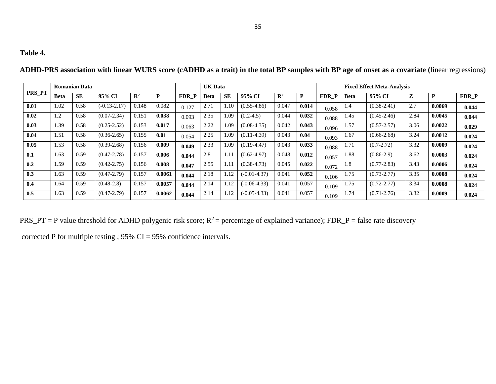## **Table 4.**

|               |                 | <b>Romanian Data</b> |                  |                |        |       | <b>UK Data</b> |           |                  |                |       |       | <b>Fixed Effect Meta-Analysis</b> |                 |              |        |       |  |
|---------------|-----------------|----------------------|------------------|----------------|--------|-------|----------------|-----------|------------------|----------------|-------|-------|-----------------------------------|-----------------|--------------|--------|-------|--|
| <b>PRS PT</b> | <b>Beta</b>     | <b>SE</b>            | 95% CI           | $\mathbf{R}^2$ | P      | FDR P | <b>Beta</b>    | <b>SE</b> | 95% CI           | $\mathbf{R}^2$ | P     | FDR P | Beta                              | 95% CI          | $\mathbf{z}$ | D      | FDR P |  |
| 0.01          | 1.02            | 0.58                 | $(-0.13 - 2.17)$ | 0.148          | 0.082  | 0.127 | 2.71           | 1.10      | $(0.55 - 4.86)$  | 0.047          | 0.014 | 0.058 | 1.4                               | $(0.38 - 2.41)$ | 2.7          | 0.0069 | 0.044 |  |
| 0.02          | 1.2             | 0.58                 | $(0.07 - 2.34)$  | 0.151          | 0.038  | 0.093 | 2.35           | 1.09      | $(0.2 - 4.5)$    | 0.044          | 0.032 | 0.088 | 1.45                              | $(0.45 - 2.46)$ | 2.84         | 0.0045 | 0.044 |  |
| 0.03          | .39             | 0.58                 | $(0.25 - 2.52)$  | 0.153          | 0.017  | 0.063 | 2.22           | .09       | $(0.08 - 4.35)$  | 0.042          | 0.043 | 0.096 | 1.57                              | $(0.57 - 2.57)$ | 3.06         | 0.0022 | 0.029 |  |
| 0.04          | l.51            | 0.58                 | $(0.36 - 2.65)$  | 0.155          | 0.01   | 0.054 | 2.25           | 1.09      | $(0.11-4.39)$    | 0.043          | 0.04  | 0.093 | 1.67                              | $(0.66 - 2.68)$ | 3.24         | 0.0012 | 0.024 |  |
| 0.05          | L <sub>53</sub> | 0.58                 | $(0.39 - 2.68)$  | 0.156          | 0.009  | 0.049 | 2.33           | 1.09      | $(0.19-4.47)$    | 0.043          | 0.033 | 0.088 | 1.71                              | $(0.7 - 2.72)$  | 3.32         | 0.0009 | 0.024 |  |
| 0.1           | 1.63            | 0.59                 | $(0.47 - 2.78)$  | 0.157          | 0.006  | 0.044 | 2.8            | 1.11      | $(0.62 - 4.97)$  | 0.048          | 0.012 | 0.057 | 1.88                              | $(0.86-2.9)$    | 3.62         | 0.0003 | 0.024 |  |
| 0.2           | .59             | 0.59                 | $(0.42 - 2.75)$  | 0.156          | 0.008  | 0.047 | 2.55           | 1.11      | $(0.38 - 4.73)$  | 0.045          | 0.022 | 0.072 | l.8                               | $(0.77 - 2.83)$ | 3.43         | 0.0006 | 0.024 |  |
| 0.3           | 1.63            | 0.59                 | $(0.47 - 2.79)$  | 0.157          | 0.0061 | 0.044 | 2.18           | 1.12      | $(-0.01 - 4.37)$ | 0.041          | 0.052 | 0.106 | 1.75                              | $(0.73 - 2.77)$ | 3.35         | 0.0008 | 0.024 |  |
| 0.4           | l.64            | 0.59                 | $(0.48 - 2.8)$   | 0.157          | 0.0057 | 0.044 | 2.14           | 1.12      | $(-0.06-4.33)$   | 0.041          | 0.057 | 0.109 | 1.75                              | $(0.72 - 2.77)$ | 3.34         | 0.0008 | 0.024 |  |
| 0.5           | 1.63            | 0.59                 | $(0.47 - 2.79)$  | 0.157          | 0.0062 | 0.044 | 2.14           | 1.12      | $(-0.05-4.33)$   | 0.041          | 0.057 | 0.109 | 1.74                              | $(0.71 - 2.76)$ | 3.32         | 0.0009 | 0.024 |  |

**ADHD-PRS association with linear WURS score (cADHD as a trait) in the total BP samples with BP age of onset as a covariate (**linear regressions)

PRS\_PT = P value threshold for ADHD polygenic risk score;  $R^2$  = percentage of explained variance); FDR\_P = false rate discovery

corrected P for multiple testing ; 95% CI = 95% confidence intervals.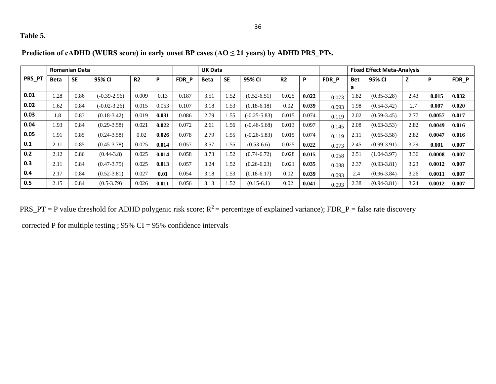## **Table 5.**

|        |                  | <b>Romanian Data</b> |                  |                |       |       | <b>UK Data</b> |           |                  |                |       |       | <b>Fixed Effect Meta-Analysis</b> |                 |      |        |       |  |
|--------|------------------|----------------------|------------------|----------------|-------|-------|----------------|-----------|------------------|----------------|-------|-------|-----------------------------------|-----------------|------|--------|-------|--|
| PRS_PT | <b>Beta</b>      | <b>SE</b>            | 95% CI           | R <sub>2</sub> | P     | FDR P | <b>Beta</b>    | <b>SE</b> | 95% CI           | R <sub>2</sub> | P     | FDR P | <b>Bet</b>                        | 95% CI          | z    | P      | FDR P |  |
|        |                  |                      |                  |                |       |       |                |           |                  |                |       |       | a                                 |                 |      |        |       |  |
| 0.01   | .28              | 0.86                 | $(-0.39 - 2.96)$ | 0.009          | 0.13  | 0.187 | 3.51           | 1.52      | $(0.52 - 6.51)$  | 0.025          | 0.022 | 0.073 | 1.82                              | $(0.35 - 3.28)$ | 2.43 | 0.015  | 0.032 |  |
| 0.02   | L <sub>.62</sub> | 0.84                 | $(-0.02 - 3.26)$ | 0.015          | 0.053 | 0.107 | 3.18           | 1.53      | $(0.18-6.18)$    | 0.02           | 0.039 | 0.093 | .98                               | $(0.54 - 3.42)$ | 2.7  | 0.007  | 0.020 |  |
| 0.03   | 1.8              | 0.83                 | $(0.18-3.42)$    | 0.019          | 0.031 | 0.086 | 2.79           | 1.55      | $(-0.25 - 5.83)$ | 0.015          | 0.074 | 0.119 | 2.02                              | $(0.59 - 3.45)$ | 2.77 | 0.0057 | 0.017 |  |
| 0.04   | 1.93             | 0.84                 | $(0.29 - 3.58)$  | 0.021          | 0.022 | 0.072 | 2.61           | 1.56      | $(-0.46 - 5.68)$ | 0.013          | 0.097 | 0.145 | 2.08                              | $(0.63 - 3.53)$ | 2.82 | 0.0049 | 0.016 |  |
| 0.05   | 1.91             | 0.85                 | $(0.24 - 3.58)$  | 0.02           | 0.026 | 0.078 | 2.79           | 1.55      | $(-0.26 - 5.83)$ | 0.015          | 0.074 | 0.119 | 2.11                              | $(0.65 - 3.58)$ | 2.82 | 0.0047 | 0.016 |  |
| 0.1    | 2.11             | 0.85                 | $(0.45 - 3.78)$  | 0.025          | 0.014 | 0.057 | 3.57           | 1.55      | $(0.53-6.6)$     | 0.025          | 0.022 | 0.073 | 2.45                              | $(0.99-3.91)$   | 3.29 | 0.001  | 0.007 |  |
| 0.2    | 2.12             | 0.86                 | $(0.44 - 3.8)$   | 0.025          | 0.014 | 0.058 | 3.73           | 1.52      | $(0.74 - 6.72)$  | 0.028          | 0.015 | 0.058 | 2.51                              | $(1.04 - 3.97)$ | 3.36 | 0.0008 | 0.007 |  |
| 0.3    | 2.11             | 0.84                 | $(0.47 - 3.75)$  | 0.025          | 0.013 | 0.057 | 3.24           | 1.52      | $(0.26 - 6.23)$  | 0.021          | 0.035 | 0.088 | 2.37                              | $(0.93 - 3.81)$ | 3.23 | 0.0012 | 0.007 |  |
| 0.4    | 2.17             | 0.84                 | $(0.52 - 3.81)$  | 0.027          | 0.01  | 0.054 | 3.18           | 1.53      | $(0.18-6.17)$    | 0.02           | 0.039 | 0.093 | 2.4                               | $(0.96 - 3.84)$ | 3.26 | 0.0011 | 0.007 |  |
| 0.5    | 2.15             | 0.84                 | $(0.5 - 3.79)$   | 0.026          | 0.011 | 0.056 | 3.13           | 1.52      | $(0.15-6.1)$     | 0.02           | 0.041 | 0.093 | 2.38                              | $(0.94 - 3.81)$ | 3.24 | 0.0012 | 0.007 |  |

## **Prediction of cADHD (WURS score) in early onset BP cases (AO ≤ 21 years) by ADHD PRS\_PTs.**

PRS\_PT = P value threshold for ADHD polygenic risk score;  $R^2$  = percentage of explained variance); FDR\_P = false rate discovery

corrected P for multiple testing ;  $95\%$  CI =  $95\%$  confidence intervals